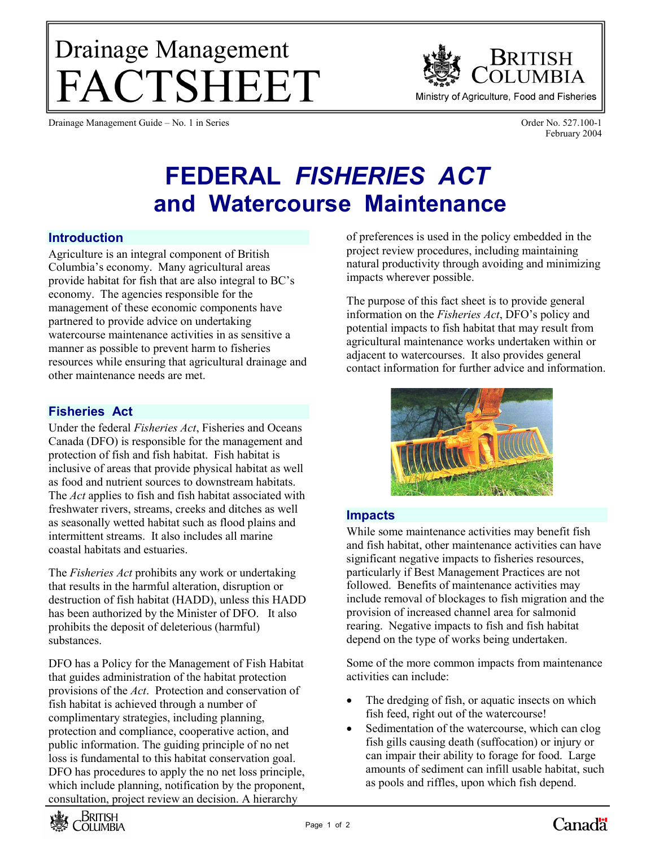# Drainage Management FACTSHEET

Drainage Management Guide – No. 1 in Series Order No. 527.100-1

**BRITISH** OLUMBIA Ministry of Agriculture, Food and Fisheries

February 2004

# **FEDERAL** *FISHERIES ACT* **and Watercourse Maintenance**

#### **Introduction**

Agriculture is an integral component of British Columbia's economy. Many agricultural areas provide habitat for fish that are also integral to BC's economy. The agencies responsible for the management of these economic components have partnered to provide advice on undertaking watercourse maintenance activities in as sensitive a manner as possible to prevent harm to fisheries resources while ensuring that agricultural drainage and other maintenance needs are met.

# **Fisheries Act**

Under the federal *Fisheries Act*, Fisheries and Oceans Canada (DFO) is responsible for the management and protection of fish and fish habitat. Fish habitat is inclusive of areas that provide physical habitat as well as food and nutrient sources to downstream habitats. The *Act* applies to fish and fish habitat associated with freshwater rivers, streams, creeks and ditches as well as seasonally wetted habitat such as flood plains and intermittent streams. It also includes all marine coastal habitats and estuaries.

The *Fisheries Act* prohibits any work or undertaking that results in the harmful alteration, disruption or destruction of fish habitat (HADD), unless this HADD has been authorized by the Minister of DFO. It also prohibits the deposit of deleterious (harmful) substances.

DFO has a Policy for the Management of Fish Habitat that guides administration of the habitat protection provisions of the *Act*. Protection and conservation of fish habitat is achieved through a number of complimentary strategies, including planning, protection and compliance, cooperative action, and public information. The guiding principle of no net loss is fundamental to this habitat conservation goal. DFO has procedures to apply the no net loss principle, which include planning, notification by the proponent, consultation, project review an decision. A hierarchy



of preferences is used in the policy embedded in the project review procedures, including maintaining natural productivity through avoiding and minimizing impacts wherever possible.

The purpose of this fact sheet is to provide general information on the *Fisheries Act*, DFO's policy and potential impacts to fish habitat that may result from agricultural maintenance works undertaken within or adjacent to watercourses. It also provides general contact information for further advice and information.



# **Impacts**

While some maintenance activities may benefit fish and fish habitat, other maintenance activities can have significant negative impacts to fisheries resources, particularly if Best Management Practices are not followed. Benefits of maintenance activities may include removal of blockages to fish migration and the provision of increased channel area for salmonid rearing. Negative impacts to fish and fish habitat depend on the type of works being undertaken.

Some of the more common impacts from maintenance activities can include:

- The dredging of fish, or aquatic insects on which fish feed, right out of the watercourse!
- Sedimentation of the watercourse, which can clog fish gills causing death (suffocation) or injury or can impair their ability to forage for food. Large amounts of sediment can infill usable habitat, such as pools and riffles, upon which fish depend.